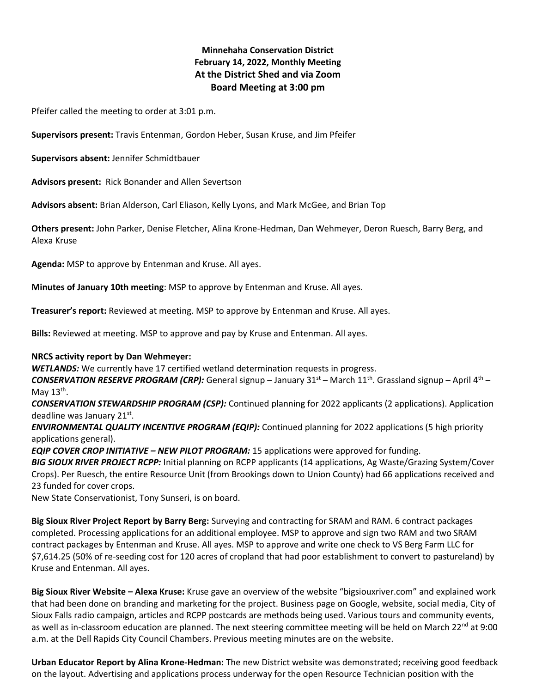# **Minnehaha Conservation District February 14, 2022, Monthly Meeting At the District Shed and via Zoom Board Meeting at 3:00 pm**

Pfeifer called the meeting to order at 3:01 p.m.

**Supervisors present:** Travis Entenman, Gordon Heber, Susan Kruse, and Jim Pfeifer

**Supervisors absent:** Jennifer Schmidtbauer

**Advisors present:** Rick Bonander and Allen Severtson

**Advisors absent:** Brian Alderson, Carl Eliason, Kelly Lyons, and Mark McGee, and Brian Top

**Others present:** John Parker, Denise Fletcher, Alina Krone-Hedman, Dan Wehmeyer, Deron Ruesch, Barry Berg, and Alexa Kruse

**Agenda:** MSP to approve by Entenman and Kruse. All ayes.

**Minutes of January 10th meeting**: MSP to approve by Entenman and Kruse. All ayes.

**Treasurer's report:** Reviewed at meeting. MSP to approve by Entenman and Kruse. All ayes.

**Bills:** Reviewed at meeting. MSP to approve and pay by Kruse and Entenman. All ayes.

#### **NRCS activity report by Dan Wehmeyer:**

*WETLANDS:* We currently have 17 certified wetland determination requests in progress.

*CONSERVATION RESERVE PROGRAM (CRP):* General signup – January 31st – March 11th. Grassland signup – April 4th – May  $13^{\text{th}}$ .

*CONSERVATION STEWARDSHIP PROGRAM (CSP):* Continued planning for 2022 applicants (2 applications). Application deadline was January 21st.

*ENVIRONMENTAL QUALITY INCENTIVE PROGRAM (EQIP):* Continued planning for 2022 applications (5 high priority applications general).

*EQIP COVER CROP INITIATIVE – NEW PILOT PROGRAM:* 15 applications were approved for funding.

*BIG SIOUX RIVER PROJECT RCPP:* Initial planning on RCPP applicants (14 applications, Ag Waste/Grazing System/Cover Crops). Per Ruesch, the entire Resource Unit (from Brookings down to Union County) had 66 applications received and 23 funded for cover crops.

New State Conservationist, Tony Sunseri, is on board.

**Big Sioux River Project Report by Barry Berg:** Surveying and contracting for SRAM and RAM. 6 contract packages completed. Processing applications for an additional employee. MSP to approve and sign two RAM and two SRAM contract packages by Entenman and Kruse. All ayes. MSP to approve and write one check to VS Berg Farm LLC for \$7,614.25 (50% of re-seeding cost for 120 acres of cropland that had poor establishment to convert to pastureland) by Kruse and Entenman. All ayes.

**Big Sioux River Website – Alexa Kruse:** Kruse gave an overview of the website "bigsiouxriver.com" and explained work that had been done on branding and marketing for the project. Business page on Google, website, social media, City of Sioux Falls radio campaign, articles and RCPP postcards are methods being used. Various tours and community events, as well as in-classroom education are planned. The next steering committee meeting will be held on March 22<sup>nd</sup> at 9:00 a.m. at the Dell Rapids City Council Chambers. Previous meeting minutes are on the website.

**Urban Educator Report by Alina Krone-Hedman:** The new District website was demonstrated; receiving good feedback on the layout. Advertising and applications process underway for the open Resource Technician position with the